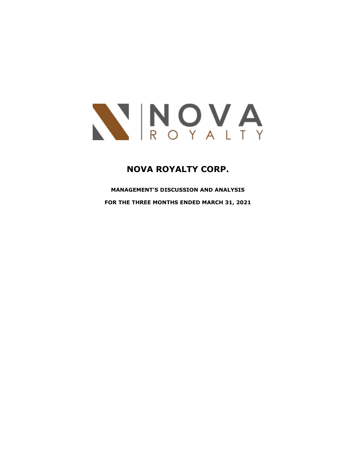

# **NOVA ROYALTY CORP.**

**MANAGEMENT'S DISCUSSION AND ANALYSIS FOR THE THREE MONTHS ENDED MARCH 31, 2021**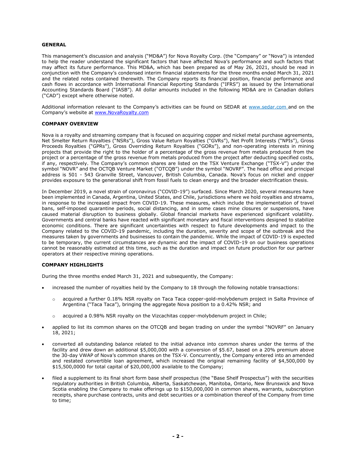### **GENERAL**

This management's discussion and analysis ("MD&A") for Nova Royalty Corp. (the "Company" or "Nova") is intended to help the reader understand the significant factors that have affected Nova's performance and such factors that may affect its future performance. This MD&A, which has been prepared as of May 26, 2021, should be read in conjunction with the Company's condensed interim financial statements for the three months ended March 31, 2021 and the related notes contained therewith. The Company reports its financial position, financial performance and cash flows in accordance with International Financial Reporting Standards ("IFRS") as issued by the International Accounting Standards Board ("IASB"). All dollar amounts included in the following MD&A are in Canadian dollars ("CAD") except where otherwise noted.

Additional information relevant to the Company's activities can be found on SEDAR at [www.sedar.com](http://www.sedar.com/) and on the Company's website at [www.NovaRoyalty.com](http://www.novaroyalty.com/)

### **COMPANY OVERVIEW**

Nova is a royalty and streaming company that is focused on acquiring copper and nickel metal purchase agreements, Net Smelter Return Royalties ("NSRs"), Gross Value Return Royalties ("GVRs"), Net Profit Interests ("NPIs"), Gross Proceeds Royalties ("GPRs"), Gross Overriding Return Royalties ("GORs"), and non-operating interests in mining projects that provide the right to the holder of a percentage of the gross revenue from metals produced from the project or a percentage of the gross revenue from metals produced from the project after deducting specified costs, if any, respectively. The Company's common shares are listed on the TSX Venture Exchange ("TSX-V") under the symbol "NOVR" and the OCTQB Venture Market ("OTCQB") under the symbol "NOVRF". The head office and principal address is 501 - 543 Granville Street, Vancouver, British Columbia, Canada. Nova's focus on nickel and copper provides exposure to the generational shift from fossil fuels to clean energy and the broader electrification thesis.

In December 2019, a novel strain of coronavirus ("COVID-19") surfaced. Since March 2020, several measures have been implemented in Canada, Argentina, United States, and Chile, jurisdictions where we hold royalties and streams, in response to the increased impact from COVID-19. These measures, which include the implementation of travel bans, self-imposed quarantine periods, social distancing, and in some cases mine closures or suspensions, have caused material disruption to business globally. Global financial markets have experienced significant volatility. Governments and central banks have reacted with significant monetary and fiscal interventions designed to stabilize economic conditions. There are significant uncertainties with respect to future developments and impact to the Company related to the COVID-19 pandemic, including the duration, severity and scope of the outbreak and the measures taken by governments and businesses to contain the pandemic. While the impact of COVID-19 is expected to be temporary, the current circumstances are dynamic and the impact of COVID-19 on our business operations cannot be reasonably estimated at this time, such as the duration and impact on future production for our partner operators at their respective mining operations.

#### **COMPANY HIGHLIGHTS**

During the three months ended March 31, 2021 and subsequently, the Company:

- increased the number of royalties held by the Company to 18 through the following notable transactions:
	- o acquired a further 0.18% NSR royalty on Taca Taca copper-gold-molybdenum project in Salta Province of Argentina ("Taca Taca"), bringing the aggregate Nova position to a 0.42% NSR; and
	- $\circ$  acquired a 0.98% NSR royalty on the Vizcachitas copper-molybdenum project in Chile;
- applied to list its common shares on the OTCQB and began trading on under the symbol "NOVRF" on January 18, 2021;
- converted all outstanding balance related to the initial advance into common shares under the terms of the facility and drew down an additional \$5,000,000 with a conversion of \$5.67, based on a 20% premium above the 30-day VWAP of Nova's common shares on the TSX-V. Concurrently, the Company entered into an amended and restated convertible loan agreement, which increased the original remaining facility of \$4,500,000 by \$15,500,0000 for total capital of \$20,000,000 available to the Company;
- filed a supplement to its final short form base shelf prospectus (the "Base Shelf Prospectus") with the securities regulatory authorities in British Columbia, Alberta, Saskatchewan, Manitoba, Ontario, New Brunswick and Nova Scotia enabling the Company to make offerings up to \$150,000,000 in common shares, warrants, subscription receipts, share purchase contracts, units and debt securities or a combination thereof of the Company from time to time;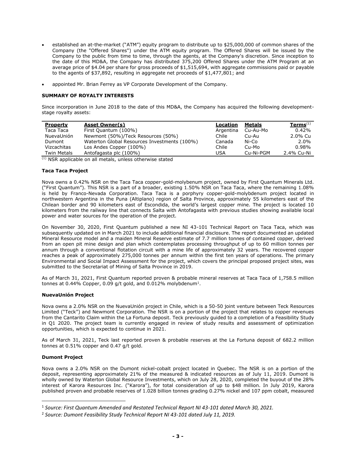- established an at-the-market ("ATM") equity program to distribute up to \$25,000,000 of common shares of the Company (the "Offered Shares") under the ATM equity program. The Offered Shares will be issued by the Company to the public from time to time, through the agents, at the Company's discretion. Since inception to the date of this MD&A, the Company has distributed 375,200 Offered Shares under the ATM Program at an average price of \$4.04 per share for gross proceeds of \$1,515,694, with aggregate commissions paid or payable to the agents of \$37,892, resulting in aggregate net proceeds of \$1,477,801; and
- appointed Mr. Brian Ferrey as VP Corporate Development of the Company.

# **SUMMARY OF ROYALTY INTERESTS**

Since incorporation in June 2018 to the date of this MD&A, the Company has acquired the following developmentstage royalty assets:

| <b>Asset Owner(s)</b>                        | Location   | Metals    | $Terms^{(1)}$ |
|----------------------------------------------|------------|-----------|---------------|
| First Quantum (100%)                         | Argentina  | Cu-Au-Mo  | 0.42%         |
| Newmont (50%)/Teck Resources (50%)           | Chile      | Cu-Au     | 2.0% Cu       |
| Waterton Global Resources Investments (100%) | Canada     | Ni-Co     | $2.0\%$       |
| Los Andes Copper (100%)                      | Chile      | Cu-Mo     | 0.98%         |
| Antofagasta plc (100%)                       | <b>USA</b> | Cu-Ni-PGM | 2.4% Cu-Ni    |
|                                              |            |           |               |

(1) NSR applicable on all metals, unless otherwise stated

# **Taca Taca Project**

Nova owns a 0.42% NSR on the Taca Taca copper-gold-molybenum project, owned by First Quantum Minerals Ltd. ("First Quantum"). This NSR is a part of a broader, existing 1.50% NSR on Taca Taca, where the remaining 1.08% is held by Franco-Nevada Corporation. Taca Taca is a porphyry copper-gold-molybdenum project located in northwestern Argentina in the Puna (Altiplano) region of Salta Province, approximately 55 kilometers east of the Chilean border and 90 kilometers east of Escondida, the world's largest copper mine. The project is located 10 kilometers from the railway line that connects Salta with Antofagasta with previous studies showing available local power and water sources for the operation of the project.

On November 30, 2020, First Quantum published a new NI 43-101 Technical Report on Taca Taca, which was subsequently updated on in March 2021 to include additional financial disclosure. The report documented an updated Mineral Resource model and a maiden Mineral Reserve estimate of 7.7 million tonnes of contained copper, derived from an open pit mine design and plan which contemplates processing throughput of up to 60 million tonnes per annum through a conventional flotation circuit with a mine life of approximately 32 years. The recovered copper reaches a peak of approximately 275,000 tonnes per annum within the first ten years of operations. The primary Environmental and Social Impact Assessment for the project, which covers the principal proposed project sites, was submitted to the Secretariat of Mining of Salta Province in 2019.

As of March 31, 2021, First Quantum reported proven & probable mineral reserves at Taca Taca of 1,758.5 million tonnes at 0.44% Copper, 0.09 g/t gold, and 0.012% molybdenum<sup>1</sup>.

# **NuevaUnión Project**

Nova owns a 2.0% NSR on the NuevaUnión project in Chile, which is a 50-50 joint venture between Teck Resources Limited ("Teck") and Newmont Corporation. The NSR is on a portion of the project that relates to copper revenues from the Cantarito Claim within the La Fortuna deposit. Teck previously guided to a completion of a Feasibility Study in Q1 2020. The project team is currently engaged in review of study results and assessment of optimization opportunities, which is expected to continue in 2021.

As of March 31, 2021, Teck last reported proven & probable reserves at the La Fortuna deposit of 682.2 million tonnes at 0.51% copper and 0.47 g/t gold.

# **Dumont Project**

Nova owns a 2.0% NSR on the Dumont nickel-cobalt project located in Quebec. The NSR is on a portion of the deposit, representing approximately 21% of the measured & indicated resources as of July 11, 2019. Dumont is wholly owned by Waterton Global Resource Investments, which on July 28, 2020, completed the buyout of the 28% interest of Karora Resources Inc. ("Karora"), for total consideration of up to \$48 million. In July 2019, Karora published proven and probable reserves of 1.028 billion tonnes grading 0.27% nickel and 107 ppm cobalt, measured

<sup>1</sup> *Source: First Quantum Amended and Restated Technical Report NI 43-101 dated March 30, 2021.*

<sup>2</sup> *Source: Dumont Feasibility Study Technical Report NI 43-101 dated July 11, 2019.*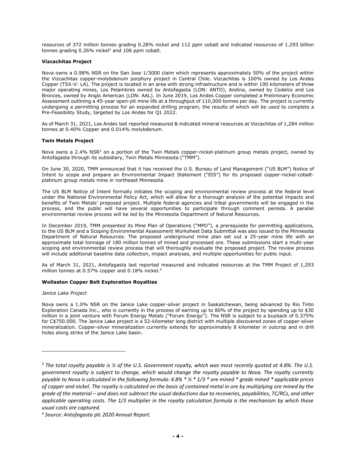resources of 372 million tonnes grading 0.28% nickel and 112 ppm cobalt and indicated resources of 1.293 billion tonnes grading 0.26% nickel<sup>2</sup> and 106 ppm cobalt.

# **Vizcachitas Project**

Nova owns a 0.98% NSR on the San Jose 1/3000 claim which represents approximately 50% of the project within the Vizcachitas copper-molybdenum porphyry project in Central Chile. Vizcachitas is 100% owned by Los Andes Copper (TSX-V: LA). The project is located in an area with strong infrastructure and is within 100 kilometers of three major operating mines, Los Pelambres owned by Antofagasta (LON: ANTO), Andina, owned by Codelco and Los Bronces, owned by Anglo American (LON: AAL). In June 2019, Los Andes Copper completed a Preliminary Economic Assessment outlining a 45-year open-pit mine life at a throughput of 110,000 tonnes per day. The project is currently undergoing a permitting process for an expanded drilling program, the results of which will be used to complete a Pre-Feasibility Study, targeted by Los Andes for Q1 2022.

As of March 31, 2021, Los Andes last reported measured & indicated mineral resources at Vizcachitas of 1,284 million tonnes at 0.40% Copper and 0.014% molybdenum.

# **Twin Metals Project**

Nova owns a 2.4% NSR<sup>3</sup> on a portion of the Twin Metals copper-nickel-platinum group metals project, owned by Antofagasta through its subsidiary, Twin Metals Minnesota ("TMM").

On June 30, 2020, TMM announced that it has received the U.S. Bureau of Land Management ("US BLM") Notice of Intent to scope and prepare an Environmental Impact Statement ("EIS") for its proposed copper-nickel-cobaltplatinum group metals mine in northeast Minnesota.

The US BLM Notice of Intent formally initiates the scoping and environmental review process at the federal level under the National Environmental Policy Act, which will allow for a thorough analysis of the potential impacts and benefits of Twin Metals' proposed project. Multiple federal agencies and tribal governments will be engaged in the process, and the public will have several opportunities to participate through comment periods. A parallel environmental review process will be led by the Minnesota Department of Natural Resources.

In December 2019, TMM presented its Mine Plan of Operations ("MPO"), a prerequisite for permitting applications, to the US BLM and a Scoping Environmental Assessment Worksheet Data Submittal was also issued to the Minnesota Department of Natural Resources. The proposed underground mine plan set out a 25-year mine life with an approximate total tonnage of 180 million tonnes of mined and processed ore. These submissions start a multi-year scoping and environmental review process that will thoroughly evaluate the proposed project. The review process will include additional baseline data collection, impact analyses, and multiple opportunities for public input.

As of March 31, 2021, Antofagasta last reported measured and indicated resources at the TMM Project of 1,293 million tonnes at 0.57% copper and 0.18% nickel.<sup>4</sup>

### **Wollaston Copper Belt Exploration Royalties**

*Janice Lake Project*

Nova owns a 1.0% NSR on the Janice Lake copper-silver project in Saskatchewan, being advanced by Rio Tinto Exploration Canada Inc., who is currently in the process of earning up to 80% of the project by spending up to \$30 million in a joint venture with Forum Energy Metals ("Forum Energy"). The NSR is subject to a buyback of 0.375% for C\$750.000. The Janice Lake project is a 52-kilometer long district with multiple discovered zones of copper-silver mineralization. Copper-silver mineralization currently extends for approximately 8 kilometer in outcrop and in drill holes along strike of the Janice Lake basin.

<sup>3</sup> *The total royalty payable is ½ of the U.S. Government royalty, which was most recently quoted at 4.8%. The U.S. government royalty is subject to change, which would change the royalty payable to Nova. The royalty currently payable to Nova is calculated in the following formula: 4.8% \* ½ \* 1/3 \* ore mined \* grade mined \* applicable prices of copper and nickel. The royalty is calculated on the basis of contained metal in ore by multiplying ore mined by the grade of the material – and does not subtract the usual deductions due to recoveries, payabilities, TC/RCs, and other applicable operating costs. The 1/3 multiplier in the royalty calculation formula is the mechanism by which those usual costs are captured.* 

*<sup>4</sup> Source: Antofagasta plc 2020 Annual Report.*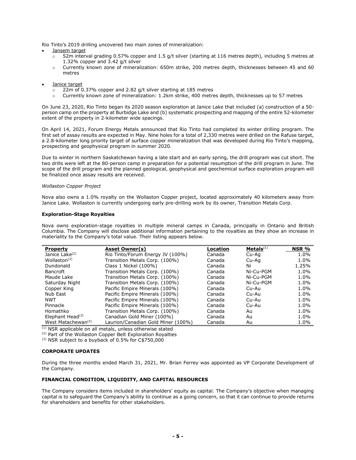Rio Tinto's 2019 drilling uncovered two main zones of mineralization:

#### Jansem target

- $\circ$  52m interval grading 0.57% copper and 1.5 g/t silver (starting at 116 metres depth), including 5 metres at 1.32% copper and 3.42 g/t silver
- o Currently known zone of mineralization: 650m strike, 200 metres depth, thicknesses between 45 and 60 metres
- Janice target
	- o 22m of 0.37% copper and 2.82 g/t silver starting at 185 metres
	- Currently known zone of mineralization: 1.2km strike, 400 metres depth, thicknesses up to 57 metres

On June 23, 2020, Rio Tinto began its 2020 season exploration at Janice Lake that included (a) construction of a 50 person camp on the property at Burbidge Lake and (b) systematic prospecting and mapping of the entire 52-kilometer extent of the property in 2-kilometer wide spacings.

On April 14, 2021, Forum Energy Metals announced that Rio Tinto had completed its winter drilling program. The first set of assay results are expected in May. Nine holes for a total of 2,330 metres were drilled on the Rafuse target, a 2.8-kilometer long priority target of surface copper mineralization that was developed during Rio Tinto's mapping, prospecting and geophysical program in summer 2020.

Due to winter in northern Saskatchewan having a late start and an early spring, the drill program was cut short. The two drills were left at the 80-person camp in preparation for a potential resumption of the drill program in June. The scope of the drill program and the planned geological, geophysical and geochemical surface exploration program will be finalized once assay results are received.

#### *Wollaston Copper Project*

Nova also owns a 1.0% royalty on the Wollaston Copper project, located approximately 40 kilometers away from Janice Lake. Wollaston is currently undergoing early pre-drilling work by its owner, Transition Metals Corp.

#### **Exploration-Stage Royalties**

Nova owns exploration-stage royalties in multiple mineral camps in Canada, principally in Ontario and British Columbia. The Company will disclose additional information pertaining to the royalties as they show an increase in materiality to the Company's total value. Their listing appears below.

| <b>Property</b>                | Asset Owner(s)                     | Location | Metals <sup>(1)</sup> | NSR % |
|--------------------------------|------------------------------------|----------|-----------------------|-------|
| Janice Lake <sup>(2)</sup>     | Rio Tinto/Forum Energy JV (100%)   | Canada   | Cu-Aq                 | 1.0%  |
| Wollaston $(2)$                | Transition Metals Corp. (100%)     | Canada   | Cu-Aq                 | 1.0%  |
| Dundonald                      | Class 1 Nickel (100%)              | Canada   | Ni                    | 1.25% |
| <b>Bancroft</b>                | Transition Metals Corp. (100%)     | Canada   | Ni-Cu-PGM             | 1.0%  |
| Maude Lake                     | Transition Metals Corp. (100%)     | Canada   | Ni-Cu-PGM             | 1.0%  |
| Saturday Night                 | Transition Metals Corp. (100%)     | Canada   | Ni-Cu-PGM             | 1.0%  |
| Copper King                    | Pacific Empire Minerals (100%)     | Canada   | Cu-Au                 | 1.0%  |
| Nub East                       | Pacific Empire Minerals (100%)     | Canada   | Cu-Au                 | 1.0%  |
| <b>NWT</b>                     | Pacific Empire Minerals (100%)     | Canada   | Cu-Au                 | 1.0%  |
| Pinnacle                       | Pacific Empire Minerals (100%)     | Canada   | Cu-Au                 | 1.0%  |
| Homathko                       | Transition Metals Corp. (100%)     | Canada   | Au                    | 1.0%  |
| Elephant Head $(3)$            | Canadian Gold Miner (100%)         | Canada   | Au                    | 1.0%  |
| West Matachewan <sup>(3)</sup> | Laurion/Canadian Gold Miner (100%) | Canada   | Au                    | 1.0%  |

 $(1)$  NSR applicable on all metals, unless otherwise stated

(2) Part of the Wollaston Copper Belt Exploration Royalties

(3) NSR subject to a buyback of 0.5% for C\$750,000

### **CORPORATE UPDATES**

During the three months ended March 31, 2021, Mr. Brian Ferrey was appointed as VP Corporate Development of the Company.

# **FINANCIAL CONDITION, LIQUIDITY, AND CAPITAL RESOURCES**

The Company considers items included in shareholders' equity as capital. The Company's objective when managing capital is to safeguard the Company's ability to continue as a going concern, so that it can continue to provide returns for shareholders and benefits for other stakeholders.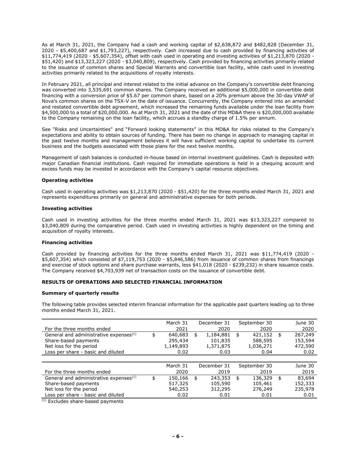As at March 31, 2021, the Company had a cash and working capital of \$2,638,872 and \$482,828 (December 31, 2020 - \$5,400,687 and \$1,793,227), respectively. Cash increased due to cash provided by financing activities of \$11,774,419 (2020 - \$5,607,354), offset with cash used in operating and investing activities of \$1,213,870 (2020 - \$51,420) and \$13,323,227 (2020 - \$3,040,809), respectively. Cash provided by financing activities primarily related to the issuance of common shares and Special Warrants and convertible loan facility, while cash used in investing activities primarily related to the acquisitions of royalty interests.

In February 2021, all principal and interest related to the initial advance on the Company's convertible debt financing was converted into 3,535,691 common shares. The Company received an additional \$5,000,000 in convertible debt financing with a conversion price of \$5.67 per common share, based on a 20% premium above the 30-day VWAP of Nova's common shares on the TSX-V on the date of issuance. Concurrently, the Company entered into an amended and restated convertible debt agreement, which increased the remaining funds available under the loan facility from \$4,500,000 to a total of \$20,000,000. As at March 31, 2021 and the date of this MD&A there is \$20,000,000 available to the Company remaining on the loan facility, which accrues a standby charge of 1.5% per annum.

See "Risks and Uncertainties" and "Forward looking statements" in this MD&A for risks related to the Company's expectations and ability to obtain sources of funding. There has been no change in approach to managing capital in the past twelve months and management believes it will have sufficient working capital to undertake its current business and the budgets associated with those plans for the next twelve months.

Management of cash balances is conducted in-house based on internal investment guidelines. Cash is deposited with major Canadian financial institutions. Cash required for immediate operations is held in a chequing account and excess funds may be invested in accordance with the Company's capital resource objectives.

# **Operating activities**

Cash used in operating activities was \$1,213,870 (2020 - \$51,420) for the three months ended March 31, 2021 and represents expenditures primarily on general and administrative expenses for both periods.

### **Investing activities**

Cash used in investing activities for the three months ended March 31, 2021 was \$13,323,227 compared to \$3,040,809 during the comparative period. Cash used in investing activities is highly dependent on the timing and acquisition of royalty interests.

### **Financing activities**

Cash provided by financing activities for the three months ended March 31, 2021 was \$11,774,419 (2020 - \$5,607,354) which consisted of \$7,119,753 (2020 - \$5,846,586) from issuance of common shares from financings and exercise of stock options and share purchase warrants, less \$41,018 (2020 - \$239,232) in share issuance costs. The Company received \$4,703,939 net of transaction costs on the issuance of convertible debt.

# **RESULTS OF OPERATIONS AND SELECTED FINANCIAL INFORMATION**

### **Summary of quarterly results**

The following table provides selected interim financial information for the applicable past quarters leading up to three months ended March 31, 2021.

|                                                    | March 31      | December 31     | September 30  | June 30       |
|----------------------------------------------------|---------------|-----------------|---------------|---------------|
| For the three months ended                         | 2021          | 2020            | 2020          | 2020          |
| General and administrative expenses <sup>(1)</sup> | \$<br>640,683 | \$<br>1,184,881 | \$<br>421,152 | \$<br>267,249 |
| Share-based payments                               | 295,434       | 101,835         | 588,595       | 153,594       |
| Net loss for the period                            | 1,149,893     | 1,371,875       | 1,036,271     | 472,590       |
| Loss per share - basic and diluted                 | 0.02          | 0.03            | 0.04          | 0.02          |
|                                                    |               |                 |               |               |
|                                                    | March 31      | December 31     | September 30  | June 30       |
| For the three months ended                         | 2020          | 2019            | 2019          | 2019          |
| General and administrative expenses <sup>(1)</sup> | \$<br>150,166 | \$<br>243,353   | \$<br>136,329 | \$<br>83,694  |
| Share-based payments                               | 517,325       | 105,590         | 105,461       | 152,333       |
| Net loss for the period                            | 540,253       | 312,295         | 276,249       | 235,978       |
| Loss per share - basic and diluted                 | 0.02          | 0.01            | 0.01          | 0.01          |

(1) Excludes share-based payments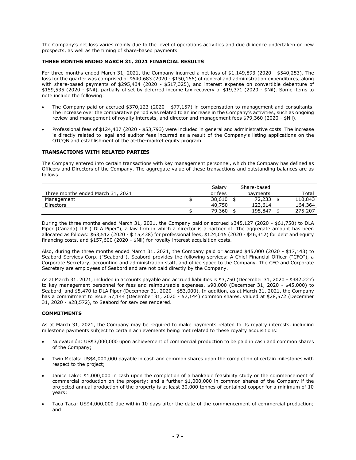The Company's net loss varies mainly due to the level of operations activities and due diligence undertaken on new prospects, as well as the timing of share-based payments.

# **THREE MONTHS ENDED MARCH 31, 2021 FINANCIAL RESULTS**

For three months ended March 31, 2021, the Company incurred a net loss of \$1,149,893 (2020 - \$540,253). The loss for the quarter was comprised of \$640,683 (2020 - \$150,166) of general and administration expenditures, along with share-based payments of \$295,434 (2020 - \$517,325), and interest expense on convertible debenture of \$159,535 (2020 - \$Nil), partially offset by deferred income tax recovery of \$19,371 (2020 - \$Nil). Some items to note include the following:

- The Company paid or accrued \$370,123 (2020 \$77,157) in compensation to management and consultants. The increase over the comparative period was related to an increase in the Company's activities, such as ongoing review and management of royalty interests, and director and management fees \$79,360 (2020 - \$Nil).
- Professional fees of \$124,437 (2020 \$53,793) were included in general and administrative costs. The increase is directly related to legal and auditor fees incurred as a result of the Company's listing applications on the OTCQB and establishment of the at-the-market equity program.

### **TRANSACTIONS WITH RELATED PARTIES**

The Company entered into certain transactions with key management personnel, which the Company has defined as Officers and Directors of the Company. The aggregate value of these transactions and outstanding balances are as follows:

|                                   | Salary  | Share-based |         |
|-----------------------------------|---------|-------------|---------|
| Three months ended March 31, 2021 | or fees | payments    | Total   |
| Management                        | 38,610  | 72,233      | 110,843 |
| <b>Directors</b>                  | 40,750  | 123,614     | 164,364 |
|                                   | 79,360  | 195,847     | 275,207 |

During the three months ended March 31, 2021, the Company paid or accrued \$345,127 (2020 - \$61,750) to DLA Piper (Canada) LLP ("DLA Piper"), a law firm in which a director is a partner of. The aggregate amount has been allocated as follows: \$63,512 (2020 - \$ 15,438) for professional fees, \$124,015 (2020 - \$46,312) for debt and equity financing costs, and \$157,600 (2020 - \$Nil) for royalty interest acquisition costs.

Also, during the three months ended March 31, 2021, the Company paid or accrued \$45,000 (2020 - \$17,143) to Seabord Services Corp. ("Seabord"). Seabord provides the following services: A Chief Financial Officer ("CFO"), a Corporate Secretary, accounting and administration staff, and office space to the Company. The CFO and Corporate Secretary are employees of Seabord and are not paid directly by the Company.

As at March 31, 2021, included in accounts payable and accrued liabilities is \$3,750 (December 31, 2020 - \$382,227) to key management personnel for fees and reimbursable expenses, \$90,000 (December 31, 2020 - \$45,000) to Seabord, and \$5,470 to DLA Piper (December 31, 2020 - \$53,000). In addition, as at March 31, 2021, the Company has a commitment to issue 57,144 (December 31, 2020 - 57,144) common shares, valued at \$28,572 (December 31, 2020 - \$28,572), to Seabord for services rendered.

### **COMMITMENTS**

As at March 31, 2021, the Company may be required to make payments related to its royalty interests, including milestone payments subject to certain achievements being met related to these royalty acquisitions:

- NuevaUnión: US\$3,000,000 upon achievement of commercial production to be paid in cash and common shares of the Company;
- Twin Metals: US\$4,000,000 payable in cash and common shares upon the completion of certain milestones with respect to the project;
- Janice Lake: \$1,000,000 in cash upon the completion of a bankable feasibility study or the commencement of commercial production on the property; and a further \$1,000,000 in common shares of the Company if the projected annual production of the property is at least 30,000 tonnes of contained copper for a minimum of 10 years;
- Taca Taca: US\$4,000,000 due within 10 days after the date of the commencement of commercial production; and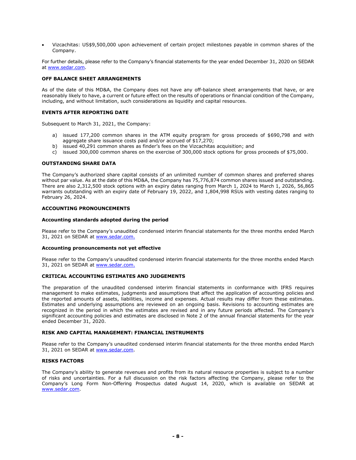• Vizcachitas: US\$9,500,000 upon achievement of certain project milestones payable in common shares of the Company.

For further details, please refer to the Company's financial statements for the year ended December 31, 2020 on SEDAR at [www.sedar.com.](http://www.sedar.com/)

### **OFF BALANCE SHEET ARRANGEMENTS**

As of the date of this MD&A, the Company does not have any off-balance sheet arrangements that have, or are reasonably likely to have, a current or future effect on the results of operations or financial condition of the Company, including, and without limitation, such considerations as liquidity and capital resources.

### **EVENTS AFTER REPORTING DATE**

Subsequent to March 31, 2021, the Company:

- a) issued 177,200 common shares in the ATM equity program for gross proceeds of \$690,798 and with aggregate share issuance costs paid and/or accrued of \$17,270;
- b) issued 40,291 common shares as finder's fees on the Vizcachitas acquisition; and
- c) issued 300,000 common shares on the exercise of 300,000 stock options for gross proceeds of \$75,000.

# **OUTSTANDING SHARE DATA**

The Company's authorized share capital consists of an unlimited number of common shares and preferred shares without par value. As at the date of this MD&A, the Company has 75,776,874 common shares issued and outstanding. There are also 2,312,500 stock options with an expiry dates ranging from March 1, 2024 to March 1, 2026, 56,865 warrants outstanding with an expiry date of February 19, 2022, and 1,804,998 RSUs with vesting dates ranging to February 26, 2024.

# **ACCOUNTING PRONOUNCEMENTS**

### **Accounting standards adopted during the period**

Please refer to the Company's unaudited condensed interim financial statements for the three months ended March 31, 2021 on SEDAR at [www.sedar.com.](http://www.sedar.com/)

# **Accounting pronouncements not yet effective**

Please refer to the Company's unaudited condensed interim financial statements for the three months ended March 31, 2021 on SEDAR at [www.sedar.com.](http://www.sedar.com/)

### **CRITICAL ACCOUNTING ESTIMATES AND JUDGEMENTS**

The preparation of the unaudited condensed interim financial statements in conformance with IFRS requires management to make estimates, judgments and assumptions that affect the application of accounting policies and the reported amounts of assets, liabilities, income and expenses. Actual results may differ from these estimates. Estimates and underlying assumptions are reviewed on an ongoing basis. Revisions to accounting estimates are recognized in the period in which the estimates are revised and in any future periods affected. The Company's significant accounting policies and estimates are disclosed in Note 2 of the annual financial statements for the year ended December 31, 2020.

### **RISK AND CAPITAL MANAGEMENT: FINANCIAL INSTRUMENTS**

Please refer to the Company's unaudited condensed interim financial statements for the three months ended March 31, 2021 on SEDAR at [www.sedar.com.](http://www.sedar.com/)

# **RISKS FACTORS**

The Company's ability to generate revenues and profits from its natural resource properties is subject to a number of risks and uncertainties. For a full discussion on the risk factors affecting the Company, please refer to the Company's Long Form Non-Offering Prospectus dated August 14, 2020, which is available on SEDAR at [www.sedar.com.](http://www.sedar.com/)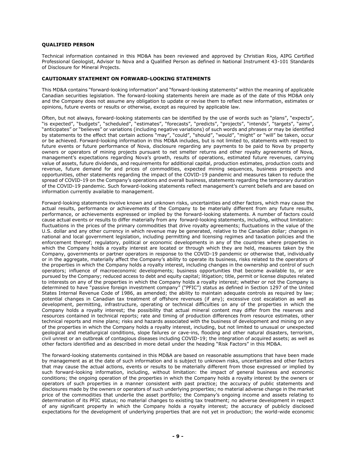### **QUALIFIED PERSON**

Technical information contained in this MD&A has been reviewed and approved by Christian Rios, AIPG Certified Professional Geologist, Advisor to Nova and a Qualified Person as defined in National Instrument 43-101 Standards of Disclosure for Mineral Projects.

### **CAUTIONARY STATEMENT ON FORWARD-LOOKING STATEMENTS**

This MD&A contains "forward-looking information" and "forward-looking statements" within the meaning of applicable Canadian securities legislation. The forward-looking statements herein are made as of the date of this MD&A only and the Company does not assume any obligation to update or revise them to reflect new information, estimates or opinions, future events or results or otherwise, except as required by applicable law.

Often, but not always, forward-looking statements can be identified by the use of words such as "plans", "expects", "is expected", "budgets", "scheduled", "estimates", "forecasts", "predicts", "projects", "intends", "targets", "aims", "anticipates" or "believes" or variations (including negative variations) of such words and phrases or may be identified by statements to the effect that certain actions "may", "could", "should", "would", "might" or "will" be taken, occur or be achieved. Forward-looking information in this MD&A includes, but is not limited to, statements with respect to future events or future performance of Nova, disclosure regarding any payments to be paid to Nova by property owners or operators of mining projects pursuant to net smelter returns and other royalty agreements of Nova, management's expectations regarding Nova's growth, results of operations, estimated future revenues, carrying value of assets, future dividends, and requirements for additional capital, production estimates, production costs and revenue, future demand for and prices of commodities, expected mining sequences, business prospects and opportunities, other statements regarding the impact of the COVID-19 pandemic and measures taken to reduce the spread of COVID-19 on the Company's operations and overall business, statements regarding the temporary duration of the COVID-19 pandemic. Such forward-looking statements reflect management's current beliefs and are based on information currently available to management.

Forward-looking statements involve known and unknown risks, uncertainties and other factors, which may cause the actual results, performance or achievements of the Company to be materially different from any future results, performance, or achievements expressed or implied by the forward-looking statements. A number of factors could cause actual events or results to differ materially from any forward-looking statements, including, without limitation: fluctuations in the prices of the primary commodities that drive royalty agreements; fluctuations in the value of the U.S. dollar and any other currency in which revenue may be generated, relative to the Canadian dollar; changes in national and local government legislation, including permitting and licensing regimes and taxation policies and the enforcement thereof; regulatory, political or economic developments in any of the countries where properties in which the Company holds a royalty interest are located or through which they are held, measures taken by the Company, governments or partner operators in response to the COVID-19 pandemic or otherwise that, individually or in the aggregate, materially affect the Company's ability to operate its business, risks related to the operators of the properties in which the Company holds a royalty interest, including changes in the ownership and control of such operators; influence of macroeconomic developments; business opportunities that become available to, or are pursued by the Company; reduced access to debt and equity capital; litigation; title, permit or license disputes related to interests on any of the properties in which the Company holds a royalty interest; whether or not the Company is determined to have "passive foreign investment company" ("PFIC") status as defined in Section 1297 of the United States Internal Revenue Code of 1986, as amended; the ability to maintain adequate controls as required by law; potential changes in Canadian tax treatment of offshore revenues (if any); excessive cost escalation as well as development, permitting, infrastructure, operating or technical difficulties on any of the properties in which the Company holds a royalty interest; the possibility that actual mineral content may differ from the reserves and resources contained in technical reports; rate and timing of production differences from resource estimates, other technical reports and mine plans; risks and hazards associated with the business of development and mining on any of the properties in which the Company holds a royalty interest, including, but not limited to unusual or unexpected geological and metallurgical conditions, slope failures or cave-ins, flooding and other natural disasters, terrorism, civil unrest or an outbreak of contagious diseases including COVID-19; the integration of acquired assets; as well as other factors identified and as described in more detail under the heading "Risk Factors" in this MD&A.

The forward-looking statements contained in this MD&A are based on reasonable assumptions that have been made by management as at the date of such information and is subject to unknown risks, uncertainties and other factors that may cause the actual actions, events or results to be materially different from those expressed or implied by such forward-looking information, including, without limitation: the impact of general business and economic conditions; the ongoing operation of the properties in which the Company holds a royalty interest by the owners or operators of such properties in a manner consistent with past practice; the accuracy of public statements and disclosures made by the owners or operators of such underlying properties; no material adverse change in the market price of the commodities that underlie the asset portfolio; the Company's ongoing income and assets relating to determination of its PFIC status; no material changes to existing tax treatment; no adverse development in respect of any significant property in which the Company holds a royalty interest; the accuracy of publicly disclosed expectations for the development of underlying properties that are not yet in production; the world-wide economic